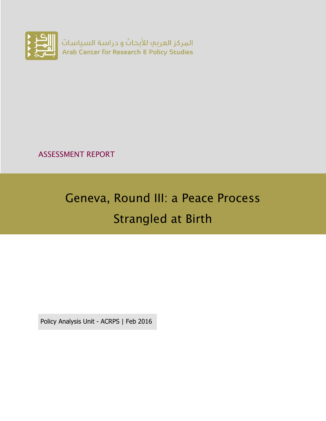

ASSESSMENT REPORT

# Geneva, Round III: a Peace Process Strangled at Birth

Policy Analysis Unit - ACRPS | Feb 2016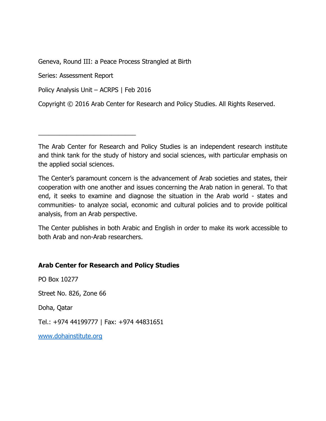Geneva, Round III: a Peace Process Strangled at Birth

Series: Assessment Report

Policy Analysis Unit – ACRPS | Feb 2016

\_\_\_\_\_\_\_\_\_\_\_\_\_\_\_\_\_\_\_\_\_\_\_\_\_\_\_\_

Copyright © 2016 Arab Center for Research and Policy Studies. All Rights Reserved.

The Arab Center for Research and Policy Studies is an independent research institute and think tank for the study of history and social sciences, with particular emphasis on the applied social sciences.

The Center's paramount concern is the advancement of Arab societies and states, their cooperation with one another and issues concerning the Arab nation in general. To that end, it seeks to examine and diagnose the situation in the Arab world - states and communities- to analyze social, economic and cultural policies and to provide political analysis, from an Arab perspective.

The Center publishes in both Arabic and English in order to make its work accessible to both Arab and non-Arab researchers.

#### **Arab Center for Research and Policy Studies**

PO Box 10277

Street No. 826, Zone 66

Doha, Qatar

Tel.: +974 44199777 | Fax: +974 44831651

[www.dohainstitute.org](file:///C:/Users/dena.qaddumi/Desktop/www.dohainstitute.org)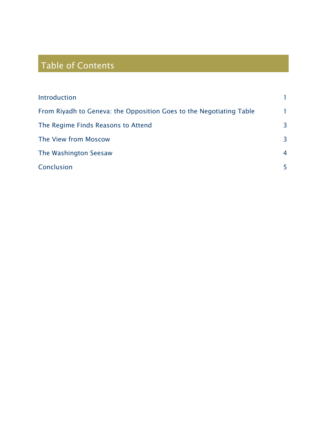## Table of Contents

| Introduction                                                        |                |
|---------------------------------------------------------------------|----------------|
| From Riyadh to Geneva: the Opposition Goes to the Negotiating Table | 1              |
| The Regime Finds Reasons to Attend                                  | 3              |
| The View from Moscow                                                | $\overline{3}$ |
| The Washington Seesaw                                               | $\overline{4}$ |
| Conclusion                                                          | 5              |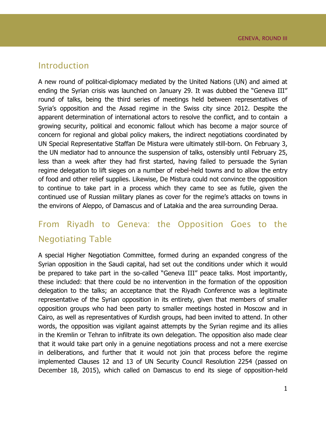### <span id="page-4-0"></span>Introduction

A new round of political-diplomacy mediated by the United Nations (UN) and aimed at ending the Syrian crisis was launched on January 29. It was dubbed the "Geneva III" round of talks, being the third series of meetings held between representatives of Syria's opposition and the Assad regime in the Swiss city since 2012. Despite the apparent determination of international actors to resolve the conflict, and to contain a growing security, political and economic fallout which has become a major source of concern for regional and global policy makers, the indirect negotiations coordinated by UN Special Representative Staffan De Mistura were ultimately still-born. On February 3, the UN mediator had to announce the suspension of talks, ostensibly until February 25, less than a week after they had first started, having failed to persuade the Syrian regime delegation to lift sieges on a number of rebel-held towns and to allow the entry of food and other relief supplies. Likewise, De Mistura could not convince the opposition to continue to take part in a process which they came to see as futile, given the continued use of Russian military planes as cover for the regime's attacks on towns in the environs of Aleppo, of Damascus and of Latakia and the area surrounding Deraa.

### <span id="page-4-1"></span>From Riyadh to Geneva: the Opposition Goes to the Negotiating Table

A special Higher Negotiation Committee, formed during an expanded congress of the Syrian opposition in the Saudi capital, had set out the conditions under which it would be prepared to take part in the so-called "Geneva III" peace talks. Most importantly, these included: that there could be no intervention in the formation of the opposition delegation to the talks; an acceptance that the Riyadh Conference was a legitimate representative of the Syrian opposition in its entirety, given that members of smaller opposition groups who had been party to smaller meetings hosted in Moscow and in Cairo, as well as representatives of Kurdish groups, had been invited to attend. In other words, the opposition was vigilant against attempts by the Syrian regime and its allies in the Kremlin or Tehran to infiltrate its own delegation. The opposition also made clear that it would take part only in a genuine negotiations process and not a mere exercise in deliberations, and further that it would not join that process before the regime implemented Clauses 12 and 13 of UN Security Council Resolution 2254 (passed on December 18, 2015), which called on Damascus to end its siege of opposition-held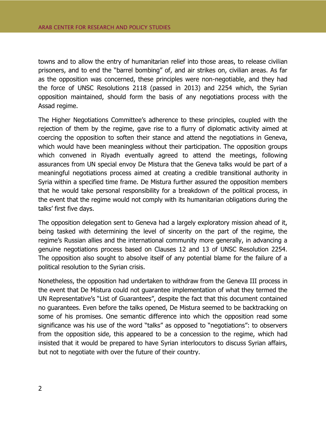towns and to allow the entry of humanitarian relief into those areas, to release civilian prisoners, and to end the "barrel bombing" of, and air strikes on, civilian areas. As far as the opposition was concerned, these principles were non-negotiable, and they had the force of UNSC Resolutions 2118 (passed in 2013) and 2254 which, the Syrian opposition maintained, should form the basis of any negotiations process with the Assad regime.

The Higher Negotiations Committee's adherence to these principles, coupled with the rejection of them by the regime, gave rise to a flurry of diplomatic activity aimed at coercing the opposition to soften their stance and attend the negotiations in Geneva, which would have been meaningless without their participation. The opposition groups which convened in Riyadh eventually agreed to attend the meetings, following assurances from UN special envoy De Mistura that the Geneva talks would be part of a meaningful negotiations process aimed at creating a credible transitional authority in Syria within a specified time frame. De Mistura further assured the opposition members that he would take personal responsibility for a breakdown of the political process, in the event that the regime would not comply with its humanitarian obligations during the talks' first five days.

The opposition delegation sent to Geneva had a largely exploratory mission ahead of it, being tasked with determining the level of sincerity on the part of the regime, the regime's Russian allies and the international community more generally, in advancing a genuine negotiations process based on Clauses 12 and 13 of UNSC Resolution 2254. The opposition also sought to absolve itself of any potential blame for the failure of a political resolution to the Syrian crisis.

Nonetheless, the opposition had undertaken to withdraw from the Geneva III process in the event that De Mistura could not guarantee implementation of what they termed the UN Representative's "List of Guarantees", despite the fact that this document contained no guarantees. Even before the talks opened, De Mistura seemed to be backtracking on some of his promises. One semantic difference into which the opposition read some significance was his use of the word "talks" as opposed to "negotiations": to observers from the opposition side, this appeared to be a concession to the regime, which had insisted that it would be prepared to have Syrian interlocutors to discuss Syrian affairs, but not to negotiate with over the future of their country.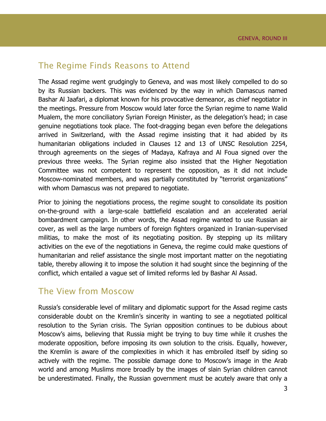### <span id="page-6-0"></span>The Regime Finds Reasons to Attend

The Assad regime went grudgingly to Geneva, and was most likely compelled to do so by its Russian backers. This was evidenced by the way in which Damascus named Bashar Al Jaafari, a diplomat known for his provocative demeanor, as chief negotiator in the meetings. Pressure from Moscow would later force the Syrian regime to name Walid Mualem, the more conciliatory Syrian Foreign Minister, as the delegation's head; in case genuine negotiations took place. The foot-dragging began even before the delegations arrived in Switzerland, with the Assad regime insisting that it had abided by its humanitarian obligations included in Clauses 12 and 13 of UNSC Resolution 2254, through agreements on the sieges of Madaya, Kafraya and Al Foua signed over the previous three weeks. The Syrian regime also insisted that the Higher Negotiation Committee was not competent to represent the opposition, as it did not include Moscow-nominated members, and was partially constituted by "terrorist organizations" with whom Damascus was not prepared to negotiate.

Prior to joining the negotiations process, the regime sought to consolidate its position on-the-ground with a large-scale battlefield escalation and an accelerated aerial bombardment campaign. In other words, the Assad regime wanted to use Russian air cover, as well as the large numbers of foreign fighters organized in Iranian-supervised militias, to make the most of its negotiating position. By stepping up its military activities on the eve of the negotiations in Geneva, the regime could make questions of humanitarian and relief assistance the single most important matter on the negotiating table, thereby allowing it to impose the solution it had sought since the beginning of the conflict, which entailed a vague set of limited reforms led by Bashar Al Assad.

### <span id="page-6-1"></span>The View from Moscow

Russia's considerable level of military and diplomatic support for the Assad regime casts considerable doubt on the Kremlin's sincerity in wanting to see a negotiated political resolution to the Syrian crisis. The Syrian opposition continues to be dubious about Moscow's aims, believing that Russia might be trying to buy time while it crushes the moderate opposition, before imposing its own solution to the crisis. Equally, however, the Kremlin is aware of the complexities in which it has embroiled itself by siding so actively with the regime. The possible damage done to Moscow's image in the Arab world and among Muslims more broadly by the images of slain Syrian children cannot be underestimated. Finally, the Russian government must be acutely aware that only a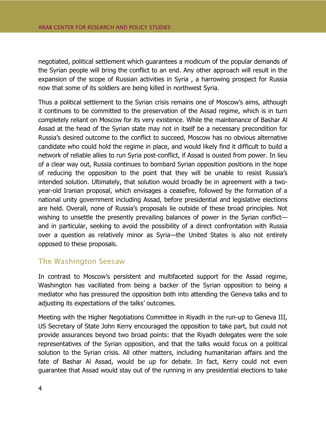negotiated, political settlement which guarantees a modicum of the popular demands of the Syrian people will bring the conflict to an end. Any other approach will result in the expansion of the scope of Russian activities in Syria , a harrowing prospect for Russia now that some of its soldiers are being killed in northwest Syria.

Thus a political settlement to the Syrian crisis remains one of Moscow's aims, although it continues to be committed to the preservation of the Assad regime, which is in turn completely reliant on Moscow for its very existence. While the maintenance of Bashar Al Assad at the head of the Syrian state may not in itself be a necessary precondition for Russia's desired outcome to the conflict to succeed, Moscow has no obvious alternative candidate who could hold the regime in place, and would likely find it difficult to build a network of reliable allies to run Syria post-conflict, if Assad is ousted from power. In lieu of a clear way out, Russia continues to bombard Syrian opposition positions in the hope of reducing the opposition to the point that they will be unable to resist Russia's intended solution. Ultimately, that solution would broadly be in agreement with a twoyear-old Iranian proposal, which envisages a ceasefire, followed by the formation of a national unity government including Assad, before presidential and legislative elections are held. Overall, none of Russia's proposals lie outside of these broad principles. Not wishing to unsettle the presently prevailing balances of power in the Syrian conflict and in particular, seeking to avoid the possibility of a direct confrontation with Russia over a question as relatively minor as Syria—the United States is also not entirely opposed to these proposals.

### <span id="page-7-0"></span>The Washington Seesaw

In contrast to Moscow's persistent and multifaceted support for the Assad regime, Washington has vacillated from being a backer of the Syrian opposition to being a mediator who has pressured the opposition both into attending the Geneva talks and to adjusting its expectations of the talks' outcomes.

Meeting with the Higher Negotiations Committee in Riyadh in the run-up to Geneva III, US Secretary of State John Kerry encouraged the opposition to take part, but could not provide assurances beyond two broad points: that the Riyadh delegates were the sole representatives of the Syrian opposition, and that the talks would focus on a political solution to the Syrian crisis. All other matters, including humanitarian affairs and the fate of Bashar Al Assad, would be up for debate. In fact, Kerry could not even guarantee that Assad would stay out of the running in any presidential elections to take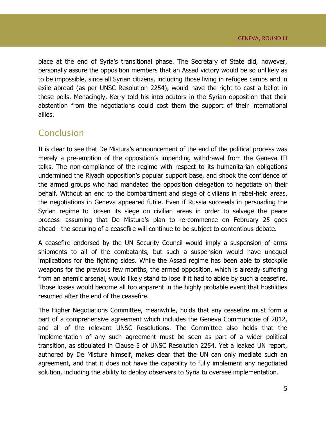place at the end of Syria's transitional phase. The Secretary of State did, however, personally assure the opposition members that an Assad victory would be so unlikely as to be impossible, since all Syrian citizens, including those living in refugee camps and in exile abroad (as per UNSC Resolution 2254), would have the right to cast a ballot in those polls. Menacingly, Kerry told his interlocutors in the Syrian opposition that their abstention from the negotiations could cost them the support of their international allies.

### <span id="page-8-0"></span>Conclusion

It is clear to see that De Mistura's announcement of the end of the political process was merely a pre-emption of the opposition's impending withdrawal from the Geneva III talks. The non-compliance of the regime with respect to its humanitarian obligations undermined the Riyadh opposition's popular support base, and shook the confidence of the armed groups who had mandated the opposition delegation to negotiate on their behalf. Without an end to the bombardment and siege of civilians in rebel-held areas, the negotiations in Geneva appeared futile. Even if Russia succeeds in persuading the Syrian regime to loosen its siege on civilian areas in order to salvage the peace process—assuming that De Mistura's plan to re-commence on February 25 goes ahead—the securing of a ceasefire will continue to be subject to contentious debate.

A ceasefire endorsed by the UN Security Council would imply a suspension of arms shipments to all of the combatants, but such a suspension would have unequal implications for the fighting sides. While the Assad regime has been able to stockpile weapons for the previous few months, the armed opposition, which is already suffering from an anemic arsenal, would likely stand to lose if it had to abide by such a ceasefire. Those losses would become all too apparent in the highly probable event that hostilities resumed after the end of the ceasefire.

The Higher Negotiations Committee, meanwhile, holds that any ceasefire must form a part of a comprehensive agreement which includes the Geneva Communique of 2012, and all of the relevant UNSC Resolutions. The Committee also holds that the implementation of any such agreement must be seen as part of a wider political transition, as stipulated in Clause 5 of UNSC Resolution 2254. Yet a leaked UN report, authored by De Mistura himself, makes clear that the UN can only mediate such an agreement, and that it does not have the capability to fully implement any negotiated solution, including the ability to deploy observers to Syria to oversee implementation.